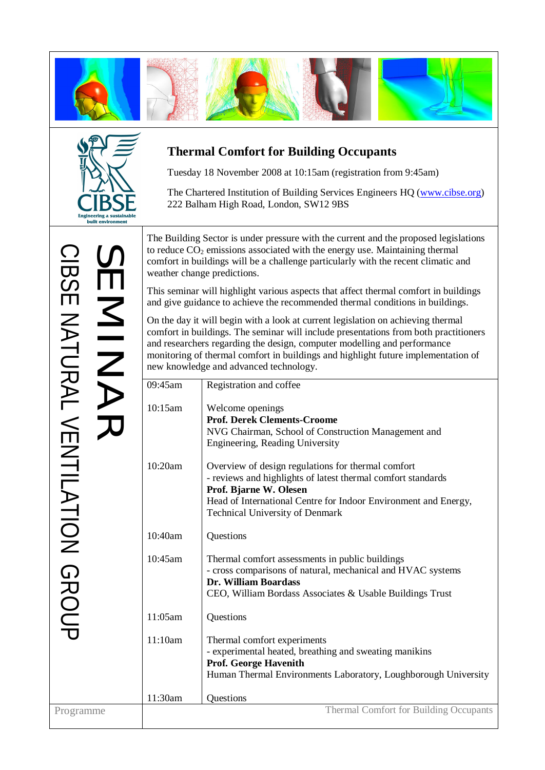



CIBSE NATURAL VENTILATION

CD<br>ズ

O U  $\overline{\mathbf{U}}$ 

Programme

**Thermal Comfort for Building Occupants**

Tuesday 18 November 2008 at 10:15am (registration from 9:45am)

The Chartered Institution of Building Services Engineers HQ (www.cibse.org) 222 Balham High Road, London, SW12 9BS

The Building Sector is under pressure with the current and the proposed legislations to reduce  $CO<sub>2</sub>$  emissions associated with the energy use. Maintaining thermal comfort in buildings will be a challenge particularly with the recent climatic and weather change predictions.

|         | to reduce $CO2$ emissions associated with the energy use. Maintaining thermal<br>comfort in buildings will be a challenge particularly with the recent climatic and<br>weather change predictions.                                                                                                                                                                                  |                                                                                                                                                                                                                                                           |  |  |  |
|---------|-------------------------------------------------------------------------------------------------------------------------------------------------------------------------------------------------------------------------------------------------------------------------------------------------------------------------------------------------------------------------------------|-----------------------------------------------------------------------------------------------------------------------------------------------------------------------------------------------------------------------------------------------------------|--|--|--|
|         |                                                                                                                                                                                                                                                                                                                                                                                     | This seminar will highlight various aspects that affect thermal comfort in buildings<br>and give guidance to achieve the recommended thermal conditions in buildings.                                                                                     |  |  |  |
| ENNINAF | On the day it will begin with a look at current legislation on achieving thermal<br>comfort in buildings. The seminar will include presentations from both practitioners<br>and researchers regarding the design, computer modelling and performance<br>monitoring of thermal comfort in buildings and highlight future implementation of<br>new knowledge and advanced technology. |                                                                                                                                                                                                                                                           |  |  |  |
|         | 09:45am                                                                                                                                                                                                                                                                                                                                                                             | Registration and coffee                                                                                                                                                                                                                                   |  |  |  |
|         | 10:15am                                                                                                                                                                                                                                                                                                                                                                             | Welcome openings<br><b>Prof. Derek Clements-Croome</b><br>NVG Chairman, School of Construction Management and<br>Engineering, Reading University                                                                                                          |  |  |  |
|         | 10:20am                                                                                                                                                                                                                                                                                                                                                                             | Overview of design regulations for thermal comfort<br>- reviews and highlights of latest thermal comfort standards<br>Prof. Bjarne W. Olesen<br>Head of International Centre for Indoor Environment and Energy,<br><b>Technical University of Denmark</b> |  |  |  |
|         | 10:40am                                                                                                                                                                                                                                                                                                                                                                             | Questions                                                                                                                                                                                                                                                 |  |  |  |
|         | 10:45am                                                                                                                                                                                                                                                                                                                                                                             | Thermal comfort assessments in public buildings<br>- cross comparisons of natural, mechanical and HVAC systems<br>Dr. William Boardass<br>CEO, William Bordass Associates & Usable Buildings Trust                                                        |  |  |  |
|         | 11:05am                                                                                                                                                                                                                                                                                                                                                                             | Questions                                                                                                                                                                                                                                                 |  |  |  |
|         | 11:10am                                                                                                                                                                                                                                                                                                                                                                             | Thermal comfort experiments<br>- experimental heated, breathing and sweating manikins<br><b>Prof. George Havenith</b><br>Human Thermal Environments Laboratory, Loughborough University                                                                   |  |  |  |
|         | 11:30am                                                                                                                                                                                                                                                                                                                                                                             | Questions                                                                                                                                                                                                                                                 |  |  |  |
| 1e      |                                                                                                                                                                                                                                                                                                                                                                                     | Thermal Comfort for Building Occupants                                                                                                                                                                                                                    |  |  |  |